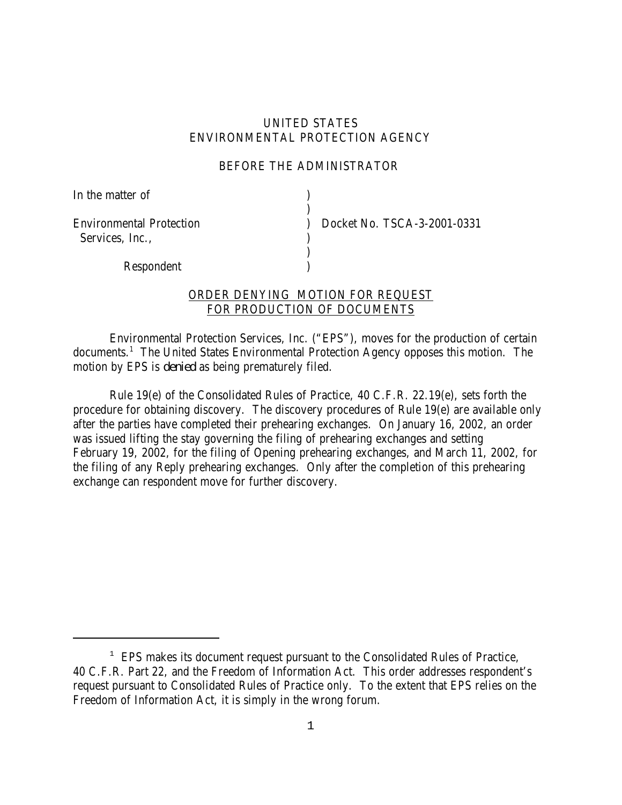## UNITED STATES ENVIRONMENTAL PROTECTION AGENCY

## BEFORE THE ADMINISTRATOR

)

)

In the matter of  $\qquad \qquad$  )

Services, Inc.,

Environmental Protection ) Docket No. TSCA-3-2001-0331

Respondent )

## ORDER DENYING MOTION FOR REQUEST FOR PRODUCTION OF DOCUMENTS

Environmental Protection Services, Inc. ("EPS"), moves for the production of certain documents.<sup>1</sup> The United States Environmental Protection Agency opposes this motion. The motion by EPS is *denied* as being prematurely filed.

Rule 19(e) of the Consolidated Rules of Practice, 40 C.F.R. 22.19(e), sets forth the procedure for obtaining discovery. The discovery procedures of Rule 19(e) are available only after the parties have completed their prehearing exchanges. On January 16, 2002, an order was issued lifting the stay governing the filing of prehearing exchanges and setting February 19, 2002, for the filing of Opening prehearing exchanges, and March 11, 2002, for the filing of any Reply prehearing exchanges. Only after the completion of this prehearing exchange can respondent move for further discovery.

<sup>&</sup>lt;sup>1</sup> EPS makes its document request pursuant to the Consolidated Rules of Practice, 40 C.F.R. Part 22, and the Freedom of Information Act. This order addresses respondent's request pursuant to Consolidated Rules of Practice only. To the extent that EPS relies on the Freedom of Information Act, it is simply in the wrong forum.